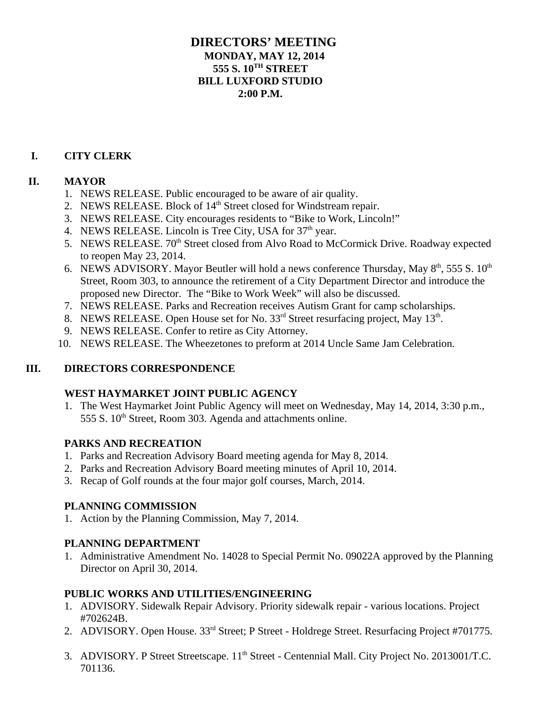## **DIRECTORS' MEETING MONDAY, MAY 12, 2014 555 S. 10TH STREET BILL LUXFORD STUDIO 2:00 P.M.**

#### **I. CITY CLERK**

#### **II. MAYOR**

- 1. NEWS RELEASE. Public encouraged to be aware of air quality.
- 2. NEWS RELEASE. Block of 14<sup>th</sup> Street closed for Windstream repair.
- 3. NEWS RELEASE. City encourages residents to "Bike to Work, Lincoln!"
- 4. NEWS RELEASE. Lincoln is Tree City, USA for  $37<sup>th</sup>$  year.
- 5. NEWS RELEASE. 70<sup>th</sup> Street closed from Alvo Road to McCormick Drive. Roadway expected to reopen May 23, 2014.
- 6. NEWS ADVISORY. Mayor Beutler will hold a news conference Thursday, May  $8<sup>th</sup>$ , 555 S.  $10<sup>th</sup>$ Street, Room 303, to announce the retirement of a City Department Director and introduce the proposed new Director. The "Bike to Work Week" will also be discussed.
- 7. NEWS RELEASE. Parks and Recreation receives Autism Grant for camp scholarships.
- 8. NEWS RELEASE. Open House set for No. 33<sup>rd</sup> Street resurfacing project, May 13<sup>th</sup>.
- 9. NEWS RELEASE. Confer to retire as City Attorney.
- 10. NEWS RELEASE. The Wheezetones to preform at 2014 Uncle Same Jam Celebration.

#### **III. DIRECTORS CORRESPONDENCE**

#### **WEST HAYMARKET JOINT PUBLIC AGENCY**

1. The West Haymarket Joint Public Agency will meet on Wednesday, May 14, 2014, 3:30 p.m., 555 S. 10<sup>th</sup> Street, Room 303. Agenda and attachments online.

#### **PARKS AND RECREATION**

- 1. Parks and Recreation Advisory Board meeting agenda for May 8, 2014.
- 2. Parks and Recreation Advisory Board meeting minutes of April 10, 2014.
- 3. Recap of Golf rounds at the four major golf courses, March, 2014.

## **PLANNING COMMISSION**

1. Action by the Planning Commission, May 7, 2014.

#### **PLANNING DEPARTMENT**

1. Administrative Amendment No. 14028 to Special Permit No. 09022A approved by the Planning Director on April 30, 2014.

#### **PUBLIC WORKS AND UTILITIES/ENGINEERING**

- 1. ADVISORY. Sidewalk Repair Advisory. Priority sidewalk repair various locations. Project #702624B.
- 2. ADVISORY. Open House. 33<sup>rd</sup> Street; P Street Holdrege Street. Resurfacing Project #701775.
- 3. ADVISORY. P Street Streetscape. 11<sup>th</sup> Street Centennial Mall. City Project No. 2013001/T.C. 701136.